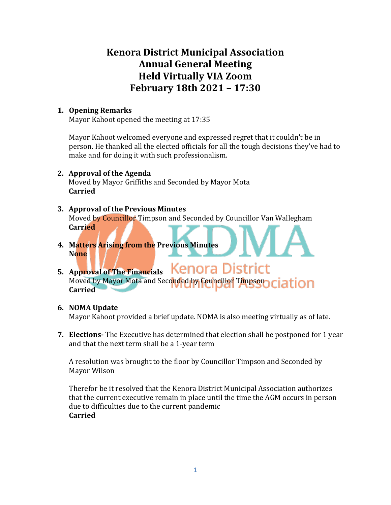# **Kenora District Municipal Association Annual General Meeting Held Virtually VIA Zoom February 18th 2021 – 17:30**

### **1. Opening Remarks**

Mayor Kahoot opened the meeting at 17:35

Mayor Kahoot welcomed everyone and expressed regret that it couldn't be in person. He thanked all the elected officials for all the tough decisions they've had to make and for doing it with such professionalism.

# **2. Approval of the Agenda**

Moved by Mayor Griffiths and Seconded by Mayor Mota **Carried**

# **3. Approval of the Previous Minutes** Moved by Councillor Timpson and Seconded by Councillor Van Wallegham **Carried**

**4. Matters Arising from the Previous Minutes None**

#### Kenora District **5. Approval of The Financials** Moved by Mayor Mota and Seconded by Councillor Timpson ciation **Carried**

# **6. NOMA Update**

Mayor Kahoot provided a brief update. NOMA is also meeting virtually as of late.

**7. Elections-** The Executive has determined that election shall be postponed for 1 year and that the next term shall be a 1-year term

A resolution was brought to the floor by Councillor Timpson and Seconded by Mayor Wilson

Therefor be it resolved that the Kenora District Municipal Association authorizes that the current executive remain in place until the time the AGM occurs in person due to difficulties due to the current pandemic **Carried**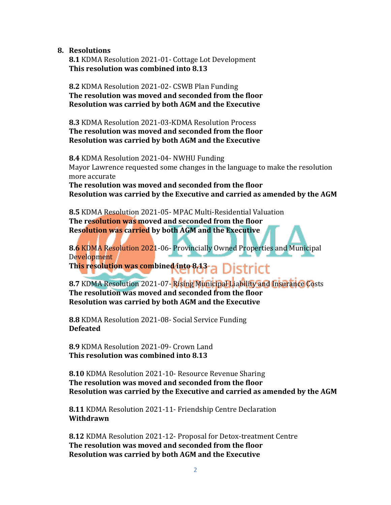**8. Resolutions**

**8.1** KDMA Resolution 2021-01- Cottage Lot Development **This resolution was combined into 8.13**

**8.2** KDMA Resolution 2021-02- CSWB Plan Funding **The resolution was moved and seconded from the floor Resolution was carried by both AGM and the Executive**

**8.3** KDMA Resolution 2021-03-KDMA Resolution Process **The resolution was moved and seconded from the floor Resolution was carried by both AGM and the Executive**

**8.4** KDMA Resolution 2021-04- NWHU Funding Mayor Lawrence requested some changes in the language to make the resolution more accurate

**The resolution was moved and seconded from the floor Resolution was carried by the Executive and carried as amended by the AGM**

**8.5** KDMA Resolution 2021-05- MPAC Multi-Residential Valuation **The resolution was moved and seconded from the floor Resolution was carried by both AGM and the Executive**

**8.6** KDMA Resolution 2021-06- Provincially Owned Properties and Municipal Development

This resolution was combined into 843 a District

**8.7** KDMA Resolution 2021-07- Rising Municipal Liability and Insurance Costs **The resolution was moved and seconded from the floor Resolution was carried by both AGM and the Executive**

**8.8** KDMA Resolution 2021-08- Social Service Funding **Defeated**

**8.9** KDMA Resolution 2021-09- Crown Land **This resolution was combined into 8.13**

**8.10** KDMA Resolution 2021-10- Resource Revenue Sharing **The resolution was moved and seconded from the floor Resolution was carried by the Executive and carried as amended by the AGM**

 **8.11** KDMA Resolution 2021-11- Friendship Centre Declaration **Withdrawn** 

**8.12** KDMA Resolution 2021-12- Proposal for Detox-treatment Centre **The resolution was moved and seconded from the floor Resolution was carried by both AGM and the Executive**